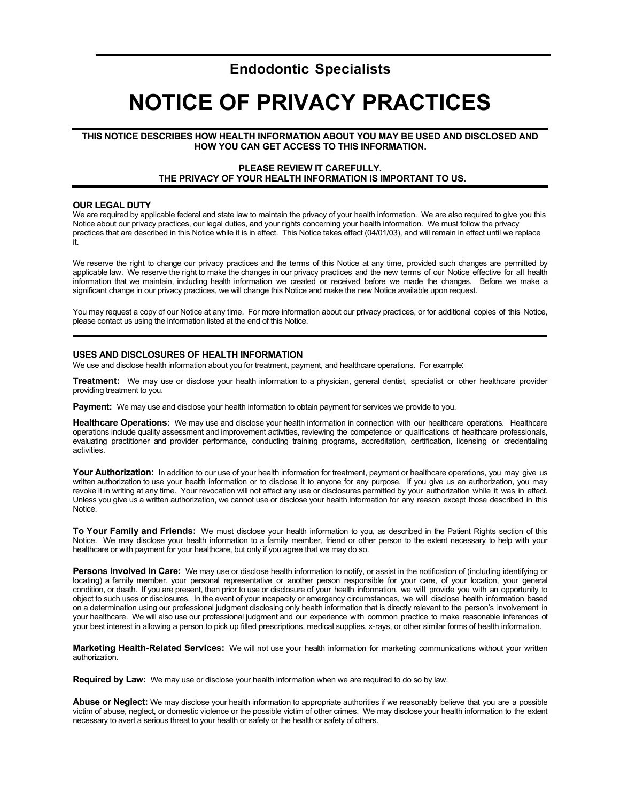# **Endodontic Specialists**

# **NOTICE OF PRIVACY PRACTICES**

#### **THIS NOTICE DESCRIBES HOW HEALTH INFORMATION ABOUT YOU MAY BE USED AND DISCLOSED AND HOW YOU CAN GET ACCESS TO THIS INFORMATION.**

### **PLEASE REVIEW IT CAREFULLY. THE PRIVACY OF YOUR HEALTH INFORMATION IS IMPORTANT TO US.**

#### **OUR LEGAL DUTY**

We are required by applicable federal and state law to maintain the privacy of your health information. We are also required to give you this Notice about our privacy practices, our legal duties, and your rights concerning your health information. We must follow the privacy practices that are described in this Notice while it is in effect. This Notice takes effect (04/01/03), and will remain in effect until we replace it.

We reserve the right to change our privacy practices and the terms of this Notice at any time, provided such changes are permitted by applicable law. We reserve the right to make the changes in our privacy practices and the new terms of our Notice effective for all health information that we maintain, including health information we created or received before we made the changes. Before we make a significant change in our privacy practices, we will change this Notice and make the new Notice available upon request.

You may request a copy of our Notice at any time. For more information about our privacy practices, or for additional copies of this Notice, please contact us using the information listed at the end of this Notice.

#### **USES AND DISCLOSURES OF HEALTH INFORMATION**

We use and disclose health information about you for treatment, payment, and healthcare operations. For example:

**Treatment:** We may use or disclose your health information to a physician, general dentist, specialist or other healthcare provider providing treatment to you.

**Payment:** We may use and disclose your health information to obtain payment for services we provide to you.

Healthcare Operations: We may use and disclose your health information in connection with our healthcare operations. Healthcare operations include quality assessment and improvement activities, reviewing the competence or qualifications of healthcare professionals, evaluating practitioner and provider performance, conducting training programs, accreditation, certification, licensing or credentialing activities.

Your Authorization: In addition to our use of your health information for treatment, payment or healthcare operations, you may give us written authorization to use your health information or to disclose it to anyone for any purpose. If you give us an authorization, you may revoke it in writing at any time. Your revocation will not affect any use or disclosures permitted by your authorization while it was in effect. Unless you give us a written authorization, we cannot use or disclose your health information for any reason except those described in this Notice.

**To Your Family and Friends:** We must disclose your health information to you, as described in the Patient Rights section of this Notice. We may disclose your health information to a family member, friend or other person to the extent necessary to help with your healthcare or with payment for your healthcare, but only if you agree that we may do so.

**Persons Involved In Care:** We may use or disclose health information to notify, or assist in the notification of (including identifying or locating) a family member, your personal representative or another person responsible for your care, of your location, your general condition, or death. If you are present, then prior to use or disclosure of your health information, we will provide you with an opportunity to object to such uses or disclosures. In the event of your incapacity or emergency circumstances, we will disclose health information based on a determination using our professional judgment disclosing only health information that is directly relevant to the person's involvement in your healthcare. We will also use our professional judgment and our experience with common practice to make reasonable inferences of your best interest in allowing a person to pick up filled prescriptions, medical supplies, x-rays, or other similar forms of health information.

**Marketing Health-Related Services:** We will not use your health information for marketing communications without your written authorization.

**Required by Law:** We may use or disclose your health information when we are required to do so by law.

**Abuse or Neglect:** We may disclose your health information to appropriate authorities if we reasonably believe that you are a possible victim of abuse, neglect, or domestic violence or the possible victim of other crimes. We may disclose your health information to the extent necessary to avert a serious threat to your health or safety or the health or safety of others.